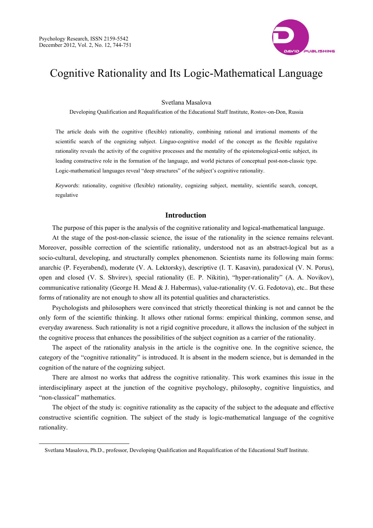$\overline{a}$ 



# Cognitive Rationality and Its Logic-Mathematical Language

#### Svetlana Masalova

Developing Qualification and Requalification of the Educational Staff Institute, Rostov-on-Don, Russia

The article deals with the cognitive (flexible) rationality, combining rational and irrational moments of the scientific search of the cognizing subject. Linguo-cognitive model of the concept as the flexible regulative rationality reveals the activity of the cognitive processes and the mentality of the epistemological-ontic subject, its leading constructive role in the formation of the language, and world pictures of conceptual post-non-classic type. Logic-mathematical languages reveal "deep structures" of the subject's cognitive rationality.

*Keywords*: rationality, cognitive (flexible) rationality, cognizing subject, mentality, scientific search, concept, regulative

## **Introduction**

The purpose of this paper is the analysis of the cognitive rationality and logical-mathematical language.

At the stage of the post-non-classic science, the issue of the rationality in the science remains relevant. Moreover, possible correction of the scientific rationality, understood not as an abstract-logical but as a socio-cultural, developing, and structurally complex phenomenon. Scientists name its following main forms: anarchic (P. Feyerabend), moderate (V. A. Lektorsky), descriptive (I. T. Kasavin), paradoxical (V. N. Porus), open and closed (V. S. Shvirev), special rationality (E. P. Nikitin), "hyper-rationality" (A. A. Novikov), communicative rationality (George H. Mead & J. Habermas), value-rationality (V. G. Fedotova), etc.. But these forms of rationality are not enough to show all its potential qualities and characteristics.

Psychologists and philosophers were convinced that strictly theoretical thinking is not and cannot be the only form of the scientific thinking. It allows other rational forms: empirical thinking, common sense, and everyday awareness. Such rationality is not a rigid cognitive procedure, it allows the inclusion of the subject in the cognitive process that enhances the possibilities of the subject cognition as a carrier of the rationality.

The aspect of the rationality analysis in the article is the cognitive one. In the cognitive science, the category of the "cognitive rationality" is introduced. It is absent in the modern science, but is demanded in the cognition of the nature of the cognizing subject.

There are almost no works that address the cognitive rationality. This work examines this issue in the interdisciplinary aspect at the junction of the cognitive psychology, philosophy, cognitive linguistics, and "non-classical" mathematics.

The object of the study is: cognitive rationality as the capacity of the subject to the adequate and effective constructive scientific cognition. The subject of the study is logic-mathematical language of the cognitive rationality.

Svetlana Masalova, Ph.D., professor, Developing Qualification and Requalification of the Educational Staff Institute.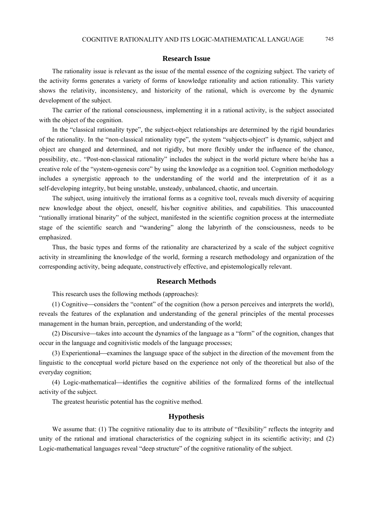#### **Research Issue**

The rationality issue is relevant as the issue of the mental essence of the cognizing subject. The variety of the activity forms generates a variety of forms of knowledge rationality and action rationality. This variety shows the relativity, inconsistency, and historicity of the rational, which is overcome by the dynamic development of the subject.

The carrier of the rational consciousness, implementing it in a rational activity, is the subject associated with the object of the cognition.

In the "classical rationality type", the subject-object relationships are determined by the rigid boundaries of the rationality. In the "non-classical rationality type", the system "subjects-object" is dynamic, subject and object are changed and determined, and not rigidly, but more flexibly under the influence of the chance, possibility, etc.. "Post-non-classical rationality" includes the subject in the world picture where he/she has a creative role of the "system-ogenesis core" by using the knowledge as a cognition tool. Cognition methodology includes a synergistic approach to the understanding of the world and the interpretation of it as a self-developing integrity, but being unstable, unsteady, unbalanced, chaotic, and uncertain.

The subject, using intuitively the irrational forms as a cognitive tool, reveals much diversity of acquiring new knowledge about the object, oneself, his/her cognitive abilities, and capabilities. This unaccounted "rationally irrational binarity" of the subject, manifested in the scientific cognition process at the intermediate stage of the scientific search and "wandering" along the labyrinth of the consciousness, needs to be emphasized.

Thus, the basic types and forms of the rationality are characterized by a scale of the subject cognitive activity in streamlining the knowledge of the world, forming a research methodology and organization of the corresponding activity, being adequate, constructively effective, and epistemologically relevant.

#### **Research Methods**

This research uses the following methods (approaches):

 $(1)$  Cognitive—considers the "content" of the cognition (how a person perceives and interprets the world), reveals the features of the explanation and understanding of the general principles of the mental processes management in the human brain, perception, and understanding of the world;

 $(2)$  Discursive—takes into account the dynamics of the language as a "form" of the cognition, changes that occur in the language and cognitivistic models of the language processes;

 $(3)$  Experientional—examines the language space of the subject in the direction of the movement from the linguistic to the conceptual world picture based on the experience not only of the theoretical but also of the everyday cognition;

(4) Logic-mathematical—identifies the cognitive abilities of the formalized forms of the intellectual activity of the subject.

The greatest heuristic potential has the cognitive method.

## **Hypothesis**

We assume that: (1) The cognitive rationality due to its attribute of "flexibility" reflects the integrity and unity of the rational and irrational characteristics of the cognizing subject in its scientific activity; and (2) Logic-mathematical languages reveal "deep structure" of the cognitive rationality of the subject.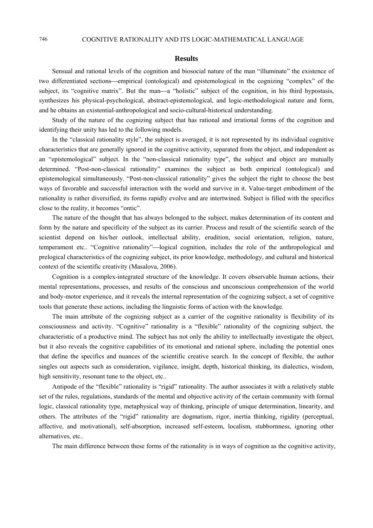## **Results**

Sensual and rational levels of the cognition and biosocial nature of the man "illuminate" the existence of two differentiated sections—empirical (ontological) and epistemological in the cognizing "complex" of the subject, its "cognitive matrix". But the man—a "holistic" subject of the cognition, in his third hypostasis, synthesizes his physical-psychological, abstract-epistemological, and logic-methodological nature and form, and he obtains an existential-anthropological and socio-cultural-historical understanding.

Study of the nature of the cognizing subject that has rational and irrational forms of the cognition and identifying their unity has led to the following models.

In the "classical rationality style", the subject is averaged, it is not represented by its individual cognitive characteristics that are generally ignored in the cognitive activity, separated from the object, and independent as an "epistemological" subject. In the "non-classical rationality type", the subject and object are mutually determined. "Post-non-classical rationality" examines the subject as both empirical (ontological) and epistemological simultaneously. "Post-non-classical rationality" gives the subject the right to choose the best ways of favorable and successful interaction with the world and survive in it. Value-target embodiment of the rationality is rather diversified, its forms rapidly evolve and are intertwined. Subject is filled with the specifics close to the reality, it becomes "ontic".

The nature of the thought that has always belonged to the subject, makes determination of its content and form by the nature and specificity of the subject as its carrier. Process and result of the scientific search of the scientist depend on his/her outlook, intellectual ability, erudition, social orientation, religion, nature, temperament etc.. "Cognitive rationality"—logical cognition, includes the role of the anthropological and prelogical characteristics of the cognizing subject, its prior knowledge, methodology, and cultural and historical context of the scientific creativity (Masalova, 2006).

Cognition is a complex-integrated structure of the knowledge. It covers observable human actions, their mental representations, processes, and results of the conscious and unconscious comprehension of the world and body-motor experience, and it reveals the internal representation of the cognizing subject, a set of cognitive tools that generate these actions, including the linguistic forms of action with the knowledge.

The main attribute of the cognizing subject as a carrier of the cognitive rationality is flexibility of its consciousness and activity. "Cognitive" rationality is a "flexible" rationality of the cognizing subject, the characteristic of a productive mind. The subject has not only the ability to intellectually investigate the object, but it also reveals the cognitive capabilities of its emotional and rational sphere, including the potential ones that define the specifics and nuances of the scientific creative search. In the concept of flexible, the author singles out aspects such as consideration, vigilance, insight, depth, historical thinking, its dialectics, wisdom, high sensitivity, resonant tune to the object, etc...

Antipode of the "flexible" rationality is "rigid" rationality. The author associates it with a relatively stable set of the rules, regulations, standards of the mental and objective activity of the certain community with formal logic, classical rationality type, metaphysical way of thinking, principle of unique determination, linearity, and others. The attributes of the "rigid" rationality are dogmatism, rigor, inertia thinking, rigidity (perceptual, affective, and motivational), self-absorption, increased self-esteem, localism, stubbornness, ignoring other alternatives, etc..

The main difference between these forms of the rationality is in ways of cognition as the cognitive activity,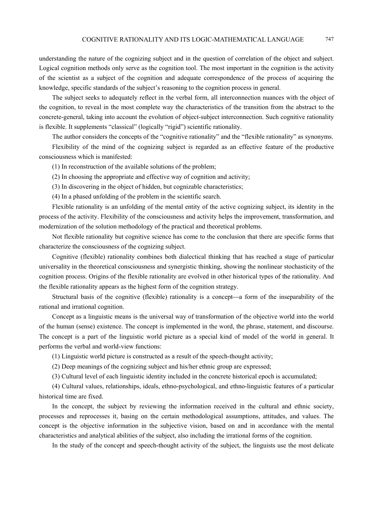understanding the nature of the cognizing subject and in the question of correlation of the object and subject. Logical cognition methods only serve as the cognition tool. The most important in the cognition is the activity of the scientist as a subject of the cognition and adequate correspondence of the process of acquiring the knowledge, specific standards of the subject's reasoning to the cognition process in general.

The subject seeks to adequately reflect in the verbal form, all interconnection nuances with the object of the cognition, to reveal in the most complete way the characteristics of the transition from the abstract to the concrete-general, taking into account the evolution of object-subject interconnection. Such cognitive rationality is flexible. It supplements "classical" (logically "rigid") scientific rationality.

The author considers the concepts of the "cognitive rationality" and the "flexible rationality" as synonyms.

Flexibility of the mind of the cognizing subject is regarded as an effective feature of the productive consciousness which is manifested:

(1) In reconstruction of the available solutions of the problem;

(2) In choosing the appropriate and effective way of cognition and activity;

(3) In discovering in the object of hidden, but cognizable characteristics;

(4) In a phased unfolding of the problem in the scientific search.

Flexible rationality is an unfolding of the mental entity of the active cognizing subject, its identity in the process of the activity. Flexibility of the consciousness and activity helps the improvement, transformation, and modernization of the solution methodology of the practical and theoretical problems.

Not flexible rationality but cognitive science has come to the conclusion that there are specific forms that characterize the consciousness of the cognizing subject.

Cognitive (flexible) rationality combines both dialectical thinking that has reached a stage of particular universality in the theoretical consciousness and synergistic thinking, showing the nonlinear stochasticity of the cognition process. Origins of the flexible rationality are evolved in other historical types of the rationality. And the flexible rationality appears as the highest form of the cognition strategy.

Structural basis of the cognitive (flexible) rationality is a concept—a form of the inseparability of the rational and irrational cognition.

Concept as a linguistic means is the universal way of transformation of the objective world into the world of the human (sense) existence. The concept is implemented in the word, the phrase, statement, and discourse. The concept is a part of the linguistic world picture as a special kind of model of the world in general. It performs the verbal and world-view functions:

(1) Linguistic world picture is constructed as a result of the speech-thought activity;

(2) Deep meanings of the cognizing subject and his/her ethnic group are expressed;

(3) Cultural level of each linguistic identity included in the concrete historical epoch is accumulated;

(4) Cultural values, relationships, ideals, ethno-psychological, and ethno-linguistic features of a particular historical time are fixed.

In the concept, the subject by reviewing the information received in the cultural and ethnic society, processes and reprocesses it, basing on the certain methodological assumptions, attitudes, and values. The concept is the objective information in the subjective vision, based on and in accordance with the mental characteristics and analytical abilities of the subject, also including the irrational forms of the cognition.

In the study of the concept and speech-thought activity of the subject, the linguists use the most delicate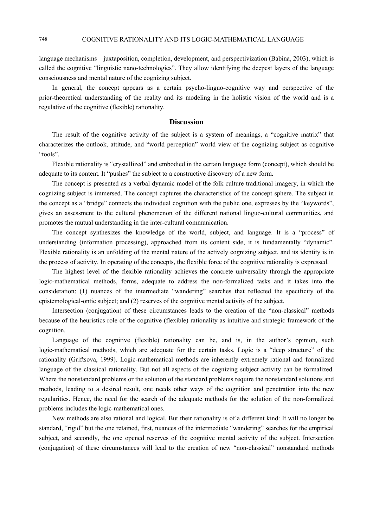language mechanisms—juxtaposition, completion, development, and perspectivization (Babina, 2003), which is called the cognitive "linguistic nano-technologies". They allow identifying the deepest layers of the language consciousness and mental nature of the cognizing subject.

In general, the concept appears as a certain psycho-linguo-cognitive way and perspective of the prior-theoretical understanding of the reality and its modeling in the holistic vision of the world and is a regulative of the cognitive (flexible) rationality.

## **Discussion**

The result of the cognitive activity of the subject is a system of meanings, a "cognitive matrix" that characterizes the outlook, attitude, and "world perception" world view of the cognizing subject as cognitive "tools".

Flexible rationality is "crystallized" and embodied in the certain language form (concept), which should be adequate to its content. It "pushes" the subject to a constructive discovery of a new form.

The concept is presented as a verbal dynamic model of the folk culture traditional imagery, in which the cognizing subject is immersed. The concept captures the characteristics of the concept sphere. The subject in the concept as a "bridge" connects the individual cognition with the public one, expresses by the "keywords", gives an assessment to the cultural phenomenon of the different national linguo-cultural communities, and promotes the mutual understanding in the inter-cultural communication.

The concept synthesizes the knowledge of the world, subject, and language. It is a "process" of understanding (information processing), approached from its content side, it is fundamentally "dynamic". Flexible rationality is an unfolding of the mental nature of the actively cognizing subject, and its identity is in the process of activity. In operating of the concepts, the flexible force of the cognitive rationality is expressed.

The highest level of the flexible rationality achieves the concrete universality through the appropriate logic-mathematical methods, forms, adequate to address the non-formalized tasks and it takes into the consideration: (1) nuances of the intermediate "wandering" searches that reflected the specificity of the epistemological-ontic subject; and (2) reserves of the cognitive mental activity of the subject.

Intersection (conjugation) of these circumstances leads to the creation of the "non-classical" methods because of the heuristics role of the cognitive (flexible) rationality as intuitive and strategic framework of the cognition.

Language of the cognitive (flexible) rationality can be, and is, in the author's opinion, such logic-mathematical methods, which are adequate for the certain tasks. Logic is a "deep structure" of the rationality (Griftsova, 1999). Logic-mathematical methods are inherently extremely rational and formalized language of the classical rationality. But not all aspects of the cognizing subject activity can be formalized. Where the nonstandard problems or the solution of the standard problems require the nonstandard solutions and methods, leading to a desired result, one needs other ways of the cognition and penetration into the new regularities. Hence, the need for the search of the adequate methods for the solution of the non-formalized problems includes the logic-mathematical ones.

New methods are also rational and logical. But their rationality is of a different kind: It will no longer be standard, "rigid" but the one retained, first, nuances of the intermediate "wandering" searches for the empirical subject, and secondly, the one opened reserves of the cognitive mental activity of the subject. Intersection (conjugation) of these circumstances will lead to the creation of new "non-classical" nonstandard methods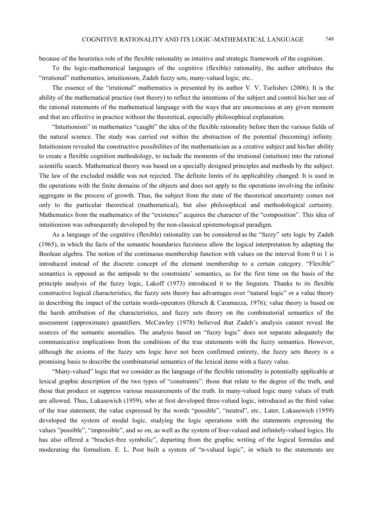because of the heuristics role of the flexible rationality as intuitive and strategic framework of the cognition.

To the logic-mathematical languages of the cognitive (flexible) rationality, the author attributes the "irrational" mathematics, intuitionism, Zadeh fuzzy sets, many-valued logic, etc..

The essence of the "irrational" mathematics is presented by its author V. V. Tselishev (2006). It is the ability of the mathematical practice (not theory) to reflect the intentions of the subject and control his/her use of the rational statements of the mathematical language with the ways that are unconscious at any given moment and that are effective in practice without the theoretical, especially philosophical explanation.

"Intuitionism" in mathematics "caught" the idea of the flexible rationality before then the various fields of the natural science. The study was carried out within the abstraction of the potential (becoming) infinity. Intuitionism revealed the constructive possibilities of the mathematician as a creative subject and his/her ability to create a flexible cognition methodology, to include the moments of the irrational (intuition) into the rational scientific search. Mathematical theory was based on a specially designed principles and methods by the subject. The law of the excluded middle was not rejected. The definite limits of its applicability changed: It is used in the operations with the finite domains of the objects and does not apply to the operations involving the infinite aggregate in the process of growth. Thus, the subject from the state of the theoretical uncertainty comes not only to the particular theoretical (mathematical), but also philosophical and methodological certainty. Mathematics from the mathematics of the "existence" acquires the character of the "composition". This idea of intuitionism was subsequently developed by the non-classical epistemological paradigm.

As a language of the cognitive (flexible) rationality can be considered as the "fuzzy" sets logic by Zadeh (1965), in which the facts of the semantic boundaries fuzziness allow the logical interpretation by adapting the Boolean algebra. The notion of the continuous membership function with values on the interval from 0 to 1 is introduced instead of the discrete concept of the element membership to a certain category. "Flexible" semantics is opposed as the antipode to the constraints' semantics, as for the first time on the basis of the principle analysis of the fuzzy logic, Lakoff (1973) introduced it to the linguists. Thanks to its flexible constructive logical characteristics, the fuzzy sets theory has advantages over "natural logic" or a value theory in describing the impact of the certain words-operators (Hersch & Caramazza, 1976); value theory is based on the harsh attribution of the characteristics, and fuzzy sets theory on the combinatorial semantics of the assessment (approximate) quantifiers. McCawley (1978) believed that Zadeh's analysis cannot reveal the sources of the semantic anomalies. The analysis based on "fuzzy logic" does not separate adequately the communicative implications from the conditions of the true statements with the fuzzy semantics. However, although the axioms of the fuzzy sets logic have not been confirmed entirety, the fuzzy sets theory is a promising basis to describe the combinatorial semantics of the lexical items with a fuzzy value.

"Many-valued" logic that we consider as the language of the flexible rationality is potentially applicable at lexical graphic description of the two types of "constraints": those that relate to the degree of the truth, and those that produce or suppress various measurements of the truth. In many-valued logic many values of truth are allowed. Thus, Lukasewich (1959), who at first developed three-valued logic, introduced as the third value of the true statement, the value expressed by the words "possible", "neutral", etc.. Later, Lukasewich (1959) developed the system of modal logic, studying the logic operations with the statements expressing the values "possible", "impossible", and so on, as well as the system of four-valued and infinitely-valued logics. He has also offered a "bracket-free symbolic", departing from the graphic writing of the logical formulas and moderating the formalism. E. L. Post built a system of "n-valued logic", in which to the statements are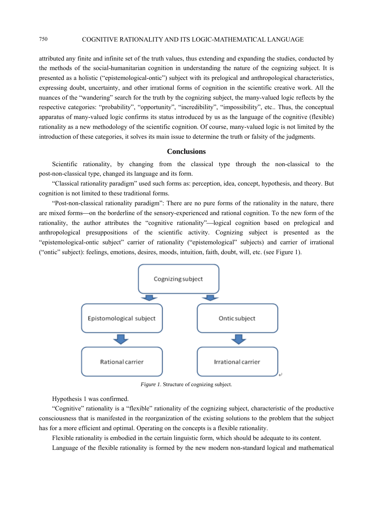attributed any finite and infinite set of the truth values, thus extending and expanding the studies, conducted by the methods of the social-humanitarian cognition in understanding the nature of the cognizing subject. It is presented as a holistic ("epistemological-ontic") subject with its prelogical and anthropological characteristics, expressing doubt, uncertainty, and other irrational forms of cognition in the scientific creative work. All the nuances of the "wandering" search for the truth by the cognizing subject, the many-valued logic reflects by the respective categories: "probability", "opportunity", "incredibility", "impossibility", etc.. Thus, the conceptual apparatus of many-valued logic confirms its status introduced by us as the language of the cognitive (flexible) rationality as a new methodology of the scientific cognition. Of course, many-valued logic is not limited by the introduction of these categories, it solves its main issue to determine the truth or falsity of the judgments.

#### **Conclusions**

Scientific rationality, by changing from the classical type through the non-classical to the post-non-classical type, changed its language and its form.

"Classical rationality paradigm" used such forms as: perception, idea, concept, hypothesis, and theory. But cognition is not limited to these traditional forms.

"Post-non-classical rationality paradigm": There are no pure forms of the rationality in the nature, there are mixed forms—on the borderline of the sensory-experienced and rational cognition. To the new form of the rationality, the author attributes the "cognitive rationality"—logical cognition based on prelogical and anthropological presuppositions of the scientific activity. Cognizing subject is presented as the "epistemological-ontic subject" carrier of rationality ("epistemological" subjects) and carrier of irrational ("ontic" subject): feelings, emotions, desires, moods, intuition, faith, doubt, will, etc. (see Figure 1).



*Figure 1*. Structure of cognizing subject.

Hypothesis 1 was confirmed.

"Cognitive" rationality is a "flexible" rationality of the cognizing subject, characteristic of the productive consciousness that is manifested in the reorganization of the existing solutions to the problem that the subject has for a more efficient and optimal. Operating on the concepts is a flexible rationality.

Flexible rationality is embodied in the certain linguistic form, which should be adequate to its content.

Language of the flexible rationality is formed by the new modern non-standard logical and mathematical